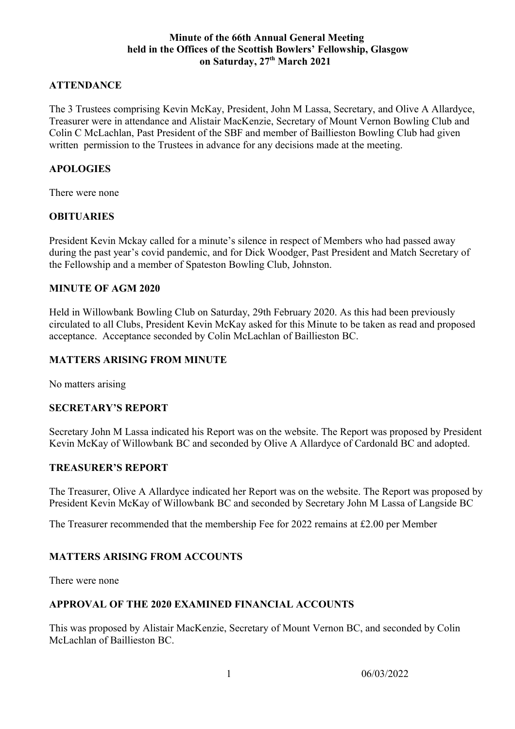# **Minute of the 66th Annual General Meeting held in the Offices of the Scottish Bowlers' Fellowship, Glasgow on Saturday, 27th March 2021**

# **ATTENDANCE**

The 3 Trustees comprising Kevin McKay, President, John M Lassa, Secretary, and Olive A Allardyce, Treasurer were in attendance and Alistair MacKenzie, Secretary of Mount Vernon Bowling Club and Colin C McLachlan, Past President of the SBF and member of Baillieston Bowling Club had given written permission to the Trustees in advance for any decisions made at the meeting.

#### **APOLOGIES**

There were none

# **OBITUARIES**

President Kevin Mckay called for a minute's silence in respect of Members who had passed away during the past year's covid pandemic, and for Dick Woodger, Past President and Match Secretary of the Fellowship and a member of Spateston Bowling Club, Johnston.

### **MINUTE OF AGM 2020**

Held in Willowbank Bowling Club on Saturday, 29th February 2020. As this had been previously circulated to all Clubs, President Kevin McKay asked for this Minute to be taken as read and proposed acceptance. Acceptance seconded by Colin McLachlan of Baillieston BC.

## **MATTERS ARISING FROM MINUTE**

No matters arising

#### **SECRETARY'S REPORT**

Secretary John M Lassa indicated his Report was on the website. The Report was proposed by President Kevin McKay of Willowbank BC and seconded by Olive A Allardyce of Cardonald BC and adopted.

#### **TREASURER'S REPORT**

The Treasurer, Olive A Allardyce indicated her Report was on the website. The Report was proposed by President Kevin McKay of Willowbank BC and seconded by Secretary John M Lassa of Langside BC

The Treasurer recommended that the membership Fee for 2022 remains at £2.00 per Member

# **MATTERS ARISING FROM ACCOUNTS**

There were none

# **APPROVAL OF THE 2020 EXAMINED FINANCIAL ACCOUNTS**

This was proposed by Alistair MacKenzie, Secretary of Mount Vernon BC, and seconded by Colin McLachlan of Baillieston BC.